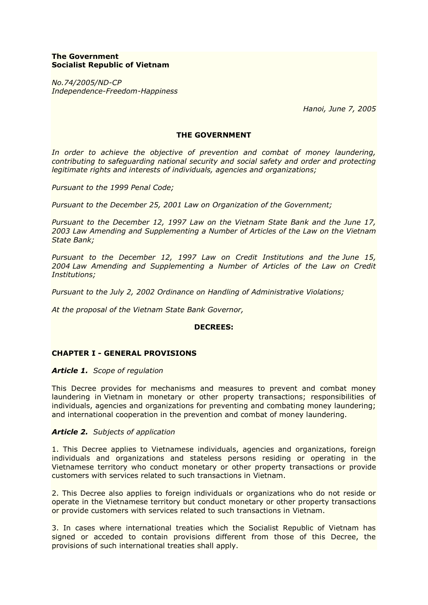# **The Government Socialist Republic of Vietnam**

*No.74/2005/ND-CP Independence-Freedom-Happiness*

 *Hanoi, June 7, 2005*

### **THE GOVERNMENT**

*In order to achieve the objective of prevention and combat of money laundering, contributing to safeguarding national security and social safety and order and protecting legitimate rights and interests of individuals, agencies and organizations;*

*Pursuant to the 1999 Penal Code;*

*Pursuant to the December 25, 2001 Law on Organization of the Government;*

*Pursuant to the December 12, 1997 Law on the Vietnam State Bank and the June 17, 2003 Law Amending and Supplementing a Number of Articles of the Law on the Vietnam State Bank;*

*Pursuant to the December 12, 1997 Law on Credit Institutions and the June 15, 2004 Law Amending and Supplementing a Number of Articles of the Law on Credit Institutions;*

*Pursuant to the July 2, 2002 Ordinance on Handling of Administrative Violations;*

*At the proposal of the Vietnam State Bank Governor,*

### **DECREES:**

## **CHAPTER I - GENERAL PROVISIONS**

### *Article 1. Scope of regulation*

This Decree provides for mechanisms and measures to prevent and combat money laundering in Vietnam in monetary or other property transactions; responsibilities of individuals, agencies and organizations for preventing and combating money laundering; and international cooperation in the prevention and combat of money laundering.

### *Article 2. Subjects of application*

1. This Decree applies to Vietnamese individuals, agencies and organizations, foreign individuals and organizations and stateless persons residing or operating in the Vietnamese territory who conduct monetary or other property transactions or provide customers with services related to such transactions in Vietnam.

2. This Decree also applies to foreign individuals or organizations who do not reside or operate in the Vietnamese territory but conduct monetary or other property transactions or provide customers with services related to such transactions in Vietnam.

3. In cases where international treaties which the Socialist Republic of Vietnam has signed or acceded to contain provisions different from those of this Decree, the provisions of such international treaties shall apply.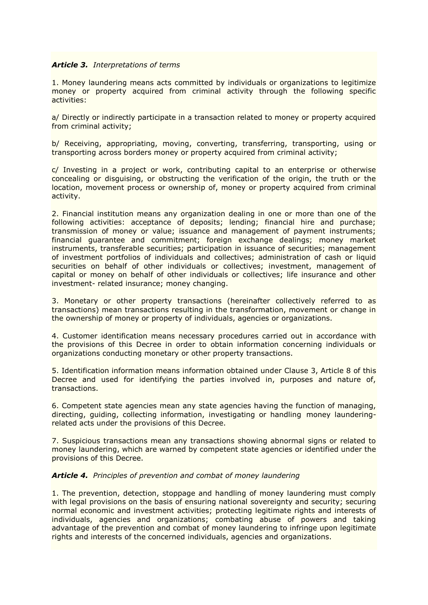## *Article 3. Interpretations of terms*

1. Money laundering means acts committed by individuals or organizations to legitimize money or property acquired from criminal activity through the following specific activities:

a/ Directly or indirectly participate in a transaction related to money or property acquired from criminal activity;

b/ Receiving, appropriating, moving, converting, transferring, transporting, using or transporting across borders money or property acquired from criminal activity;

c/ Investing in a project or work, contributing capital to an enterprise or otherwise concealing or disguising, or obstructing the verification of the origin, the truth or the location, movement process or ownership of, money or property acquired from criminal activity.

2. Financial institution means any organization dealing in one or more than one of the following activities: acceptance of deposits; lending; financial hire and purchase; transmission of money or value; issuance and management of payment instruments; financial guarantee and commitment; foreign exchange dealings; money market instruments, transferable securities; participation in issuance of securities; management of investment portfolios of individuals and collectives; administration of cash or liquid securities on behalf of other individuals or collectives; investment, management of capital or money on behalf of other individuals or collectives; life insurance and other investment- related insurance; money changing.

3. Monetary or other property transactions (hereinafter collectively referred to as transactions) mean transactions resulting in the transformation, movement or change in the ownership of money or property of individuals, agencies or organizations.

4. Customer identification means necessary procedures carried out in accordance with the provisions of this Decree in order to obtain information concerning individuals or organizations conducting monetary or other property transactions.

5. Identification information means information obtained under Clause 3, Article 8 of this Decree and used for identifying the parties involved in, purposes and nature of, transactions.

6. Competent state agencies mean any state agencies having the function of managing, directing, guiding, collecting information, investigating or handling money launderingrelated acts under the provisions of this Decree.

7. Suspicious transactions mean any transactions showing abnormal signs or related to money laundering, which are warned by competent state agencies or identified under the provisions of this Decree.

### *Article 4. Principles of prevention and combat of money laundering*

1. The prevention, detection, stoppage and handling of money laundering must comply with legal provisions on the basis of ensuring national sovereignty and security; securing normal economic and investment activities; protecting legitimate rights and interests of individuals, agencies and organizations; combating abuse of powers and taking advantage of the prevention and combat of money laundering to infringe upon legitimate rights and interests of the concerned individuals, agencies and organizations.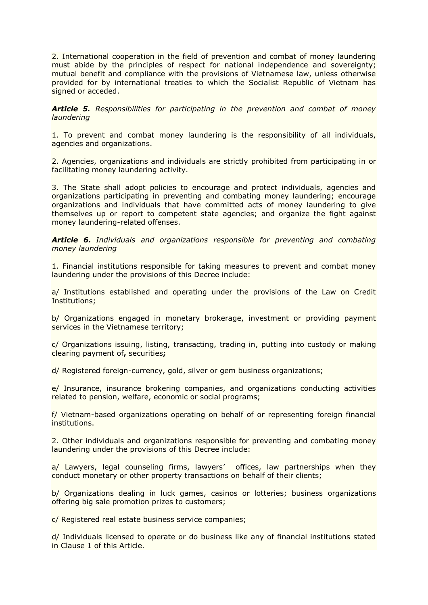2. International cooperation in the field of prevention and combat of money laundering must abide by the principles of respect for national independence and sovereignty; mutual benefit and compliance with the provisions of Vietnamese law, unless otherwise provided for by international treaties to which the Socialist Republic of Vietnam has signed or acceded.

*Article 5. Responsibilities for participating in the prevention and combat of money laundering*

1. To prevent and combat money laundering is the responsibility of all individuals, agencies and organizations.

2. Agencies, organizations and individuals are strictly prohibited from participating in or facilitating money laundering activity.

3. The State shall adopt policies to encourage and protect individuals, agencies and organizations participating in preventing and combating money laundering; encourage organizations and individuals that have committed acts of money laundering to give themselves up or report to competent state agencies; and organize the fight against money laundering-related offenses.

*Article 6. Individuals and organizations responsible for preventing and combating money laundering*

1. Financial institutions responsible for taking measures to prevent and combat money laundering under the provisions of this Decree include:

a/ Institutions established and operating under the provisions of the Law on Credit Institutions;

b/ Organizations engaged in monetary brokerage, investment or providing payment services in the Vietnamese territory;

c/ Organizations issuing, listing, transacting, trading in, putting into custody or making clearing payment of**,** securities**;**

d/ Registered foreign-currency, gold, silver or gem business organizations;

e/ Insurance, insurance brokering companies, and organizations conducting activities related to pension, welfare, economic or social programs;

f/ Vietnam-based organizations operating on behalf of or representing foreign financial institutions.

2. Other individuals and organizations responsible for preventing and combating money laundering under the provisions of this Decree include:

a/ Lawyers, legal counseling firms, lawyers' offices, law partnerships when they conduct monetary or other property transactions on behalf of their clients;

b/ Organizations dealing in luck games, casinos or lotteries; business organizations offering big sale promotion prizes to customers;

c/ Registered real estate business service companies;

d/ Individuals licensed to operate or do business like any of financial institutions stated in Clause 1 of this Article.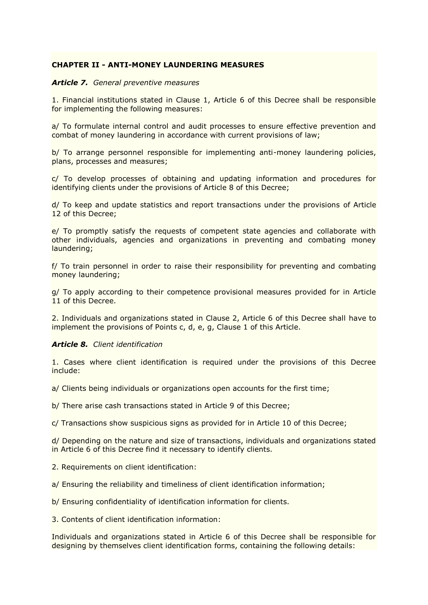# **CHAPTER II - ANTI-MONEY LAUNDERING MEASURES**

### *Article 7. General preventive measures*

1. Financial institutions stated in Clause 1, Article 6 of this Decree shall be responsible for implementing the following measures:

a/ To formulate internal control and audit processes to ensure effective prevention and combat of money laundering in accordance with current provisions of law;

b/ To arrange personnel responsible for implementing anti-money laundering policies, plans, processes and measures;

c/ To develop processes of obtaining and updating information and procedures for identifying clients under the provisions of Article 8 of this Decree;

d/ To keep and update statistics and report transactions under the provisions of Article 12 of this Decree;

e/ To promptly satisfy the requests of competent state agencies and collaborate with other individuals, agencies and organizations in preventing and combating money laundering;

f/ To train personnel in order to raise their responsibility for preventing and combating money laundering;

g/ To apply according to their competence provisional measures provided for in Article 11 of this Decree.

2. Individuals and organizations stated in Clause 2, Article 6 of this Decree shall have to implement the provisions of Points c, d, e, g, Clause 1 of this Article.

### *Article 8. Client identification*

1. Cases where client identification is required under the provisions of this Decree include:

a/ Clients being individuals or organizations open accounts for the first time;

b/ There arise cash transactions stated in Article 9 of this Decree;

c/ Transactions show suspicious signs as provided for in Article 10 of this Decree;

d/ Depending on the nature and size of transactions, individuals and organizations stated in Article 6 of this Decree find it necessary to identify clients.

2. Requirements on client identification:

a/ Ensuring the reliability and timeliness of client identification information;

b/ Ensuring confidentiality of identification information for clients.

3. Contents of client identification information:

Individuals and organizations stated in Article 6 of this Decree shall be responsible for designing by themselves client identification forms, containing the following details: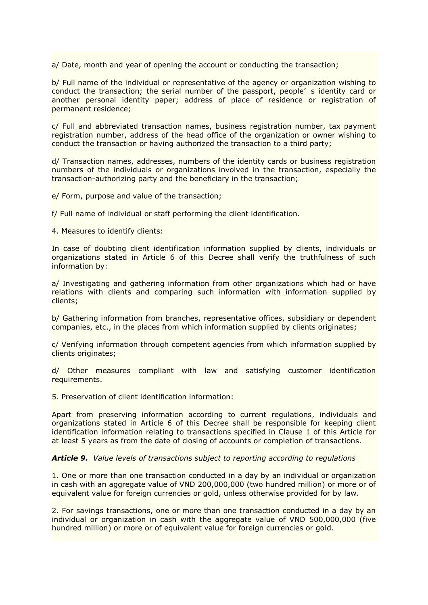a/ Date, month and year of opening the account or conducting the transaction;

b/ Full name of the individual or representative of the agency or organization wishing to conduct the transaction; the serial number of the passport, people' s identity card or another personal identity paper; address of place of residence or registration of permanent residence;

c/ Full and abbreviated transaction names, business registration number, tax payment registration number, address of the head office of the organization or owner wishing to conduct the transaction or having authorized the transaction to a third party;

d/ Transaction names, addresses, numbers of the identity cards or business registration numbers of the individuals or organizations involved in the transaction, especially the transaction-authorizing party and the beneficiary in the transaction;

e/ Form, purpose and value of the transaction;

f/ Full name of individual or staff performing the client identification.

4. Measures to identify clients:

In case of doubting client identification information supplied by clients, individuals or organizations stated in Article 6 of this Decree shall verify the truthfulness of such information by:

a/ Investigating and gathering information from other organizations which had or have relations with clients and comparing such information with information supplied by clients;

b/ Gathering information from branches, representative offices, subsidiary or dependent companies, etc., in the places from which information supplied by clients originates;

c/ Verifying information through competent agencies from which information supplied by clients originates;

d/ Other measures compliant with law and satisfying customer identification requirements.

5. Preservation of client identification information:

Apart from preserving information according to current regulations, individuals and organizations stated in Article 6 of this Decree shall be responsible for keeping client identification information relating to transactions specified in Clause 1 of this Article for at least 5 years as from the date of closing of accounts or completion of transactions.

## *Article 9. Value levels of transactions subject to reporting according to regulations*

1. One or more than one transaction conducted in a day by an individual or organization in cash with an aggregate value of VND 200,000,000 (two hundred million) or more or of equivalent value for foreign currencies or gold, unless otherwise provided for by law.

2. For savings transactions, one or more than one transaction conducted in a day by an individual or organization in cash with the aggregate value of VND 500,000,000 (five hundred million) or more or of equivalent value for foreign currencies or gold.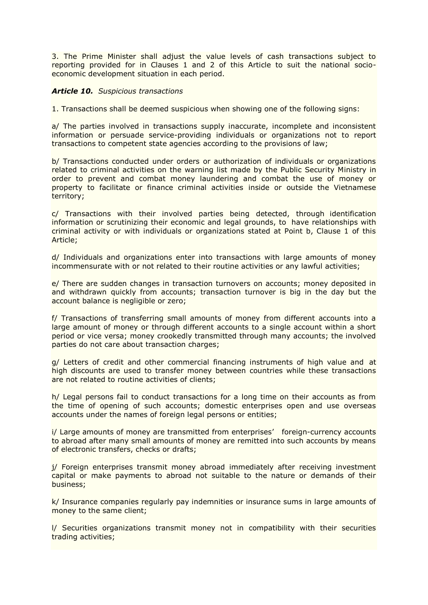3. The Prime Minister shall adjust the value levels of cash transactions subject to reporting provided for in Clauses 1 and 2 of this Article to suit the national socioeconomic development situation in each period.

# *Article 10. Suspicious transactions*

1. Transactions shall be deemed suspicious when showing one of the following signs:

a/ The parties involved in transactions supply inaccurate, incomplete and inconsistent information or persuade service-providing individuals or organizations not to report transactions to competent state agencies according to the provisions of law;

b/ Transactions conducted under orders or authorization of individuals or organizations related to criminal activities on the warning list made by the Public Security Ministry in order to prevent and combat money laundering and combat the use of money or property to facilitate or finance criminal activities inside or outside the Vietnamese territory;

c/ Transactions with their involved parties being detected, through identification information or scrutinizing their economic and legal grounds, to have relationships with criminal activity or with individuals or organizations stated at Point b, Clause 1 of this Article;

d/ Individuals and organizations enter into transactions with large amounts of money incommensurate with or not related to their routine activities or any lawful activities;

e/ There are sudden changes in transaction turnovers on accounts; money deposited in and withdrawn quickly from accounts; transaction turnover is big in the day but the account balance is negligible or zero;

f/ Transactions of transferring small amounts of money from different accounts into a large amount of money or through different accounts to a single account within a short period or vice versa; money crookedly transmitted through many accounts; the involved parties do not care about transaction charges;

g/ Letters of credit and other commercial financing instruments of high value and at high discounts are used to transfer money between countries while these transactions are not related to routine activities of clients;

h/ Legal persons fail to conduct transactions for a long time on their accounts as from the time of opening of such accounts; domestic enterprises open and use overseas accounts under the names of foreign legal persons or entities;

i/ Large amounts of money are transmitted from enterprises' foreign-currency accounts to abroad after many small amounts of money are remitted into such accounts by means of electronic transfers, checks or drafts;

j/ Foreign enterprises transmit money abroad immediately after receiving investment capital or make payments to abroad not suitable to the nature or demands of their business;

k/ Insurance companies regularly pay indemnities or insurance sums in large amounts of money to the same client;

l/ Securities organizations transmit money not in compatibility with their securities trading activities;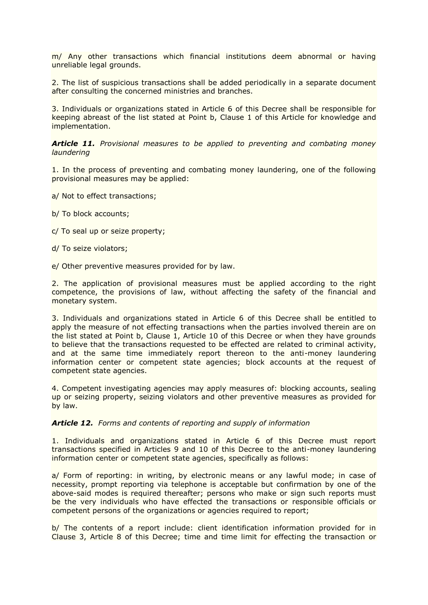m/ Any other transactions which financial institutions deem abnormal or having unreliable legal grounds.

2. The list of suspicious transactions shall be added periodically in a separate document after consulting the concerned ministries and branches.

3. Individuals or organizations stated in Article 6 of this Decree shall be responsible for keeping abreast of the list stated at Point b, Clause 1 of this Article for knowledge and implementation.

*Article 11. Provisional measures to be applied to preventing and combating money laundering*

1. In the process of preventing and combating money laundering, one of the following provisional measures may be applied:

a/ Not to effect transactions;

b/ To block accounts;

c/ To seal up or seize property;

d/ To seize violators;

e/ Other preventive measures provided for by law.

2. The application of provisional measures must be applied according to the right competence, the provisions of law, without affecting the safety of the financial and monetary system.

3. Individuals and organizations stated in Article 6 of this Decree shall be entitled to apply the measure of not effecting transactions when the parties involved therein are on the list stated at Point b, Clause 1, Article 10 of this Decree or when they have grounds to believe that the transactions requested to be effected are related to criminal activity, and at the same time immediately report thereon to the anti-money laundering information center or competent state agencies; block accounts at the request of competent state agencies.

4. Competent investigating agencies may apply measures of: blocking accounts, sealing up or seizing property, seizing violators and other preventive measures as provided for by law.

### *Article 12. Forms and contents of reporting and supply of information*

1. Individuals and organizations stated in Article 6 of this Decree must report transactions specified in Articles 9 and 10 of this Decree to the anti-money laundering information center or competent state agencies, specifically as follows:

a/ Form of reporting: in writing, by electronic means or any lawful mode; in case of necessity, prompt reporting via telephone is acceptable but confirmation by one of the above-said modes is required thereafter; persons who make or sign such reports must be the very individuals who have effected the transactions or responsible officials or competent persons of the organizations or agencies required to report;

b/ The contents of a report include: client identification information provided for in Clause 3, Article 8 of this Decree; time and time limit for effecting the transaction or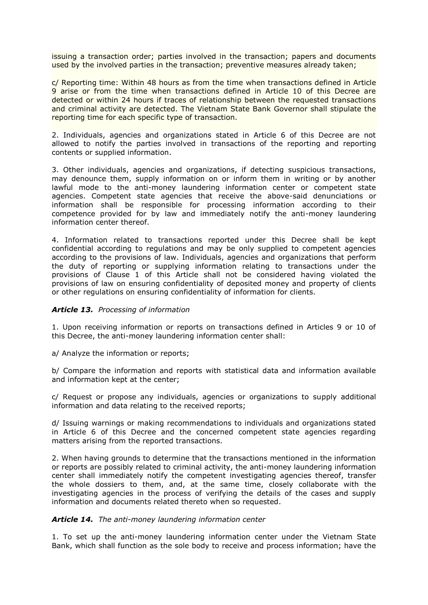issuing a transaction order; parties involved in the transaction; papers and documents used by the involved parties in the transaction; preventive measures already taken;

c/ Reporting time: Within 48 hours as from the time when transactions defined in Article 9 arise or from the time when transactions defined in Article 10 of this Decree are detected or within 24 hours if traces of relationship between the requested transactions and criminal activity are detected. The Vietnam State Bank Governor shall stipulate the reporting time for each specific type of transaction.

2. Individuals, agencies and organizations stated in Article 6 of this Decree are not allowed to notify the parties involved in transactions of the reporting and reporting contents or supplied information.

3. Other individuals, agencies and organizations, if detecting suspicious transactions, may denounce them, supply information on or inform them in writing or by another lawful mode to the anti-money laundering information center or competent state agencies. Competent state agencies that receive the above-said denunciations or information shall be responsible for processing information according to their competence provided for by law and immediately notify the anti-money laundering information center thereof.

4. Information related to transactions reported under this Decree shall be kept confidential according to regulations and may be only supplied to competent agencies according to the provisions of law. Individuals, agencies and organizations that perform the duty of reporting or supplying information relating to transactions under the provisions of Clause 1 of this Article shall not be considered having violated the provisions of law on ensuring confidentiality of deposited money and property of clients or other regulations on ensuring confidentiality of information for clients.

## *Article 13. Processing of information*

1. Upon receiving information or reports on transactions defined in Articles 9 or 10 of this Decree, the anti-money laundering information center shall:

a/ Analyze the information or reports;

b/ Compare the information and reports with statistical data and information available and information kept at the center;

c/ Request or propose any individuals, agencies or organizations to supply additional information and data relating to the received reports;

d/ Issuing warnings or making recommendations to individuals and organizations stated in Article 6 of this Decree and the concerned competent state agencies regarding matters arising from the reported transactions.

2. When having grounds to determine that the transactions mentioned in the information or reports are possibly related to criminal activity, the anti-money laundering information center shall immediately notify the competent investigating agencies thereof, transfer the whole dossiers to them, and, at the same time, closely collaborate with the investigating agencies in the process of verifying the details of the cases and supply information and documents related thereto when so requested.

### *Article 14. The anti-money laundering information center*

1. To set up the anti-money laundering information center under the Vietnam State Bank, which shall function as the sole body to receive and process information; have the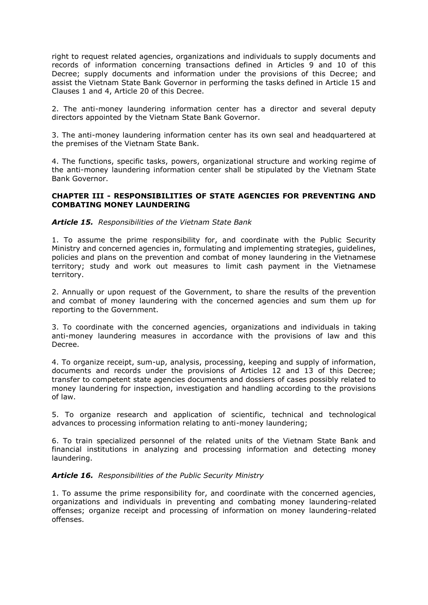right to request related agencies, organizations and individuals to supply documents and records of information concerning transactions defined in Articles 9 and 10 of this Decree; supply documents and information under the provisions of this Decree; and assist the Vietnam State Bank Governor in performing the tasks defined in Article 15 and Clauses 1 and 4, Article 20 of this Decree.

2. The anti-money laundering information center has a director and several deputy directors appointed by the Vietnam State Bank Governor.

3. The anti-money laundering information center has its own seal and headquartered at the premises of the Vietnam State Bank.

4. The functions, specific tasks, powers, organizational structure and working regime of the anti-money laundering information center shall be stipulated by the Vietnam State Bank Governor.

# **CHAPTER III - RESPONSIBILITIES OF STATE AGENCIES FOR PREVENTING AND COMBATING MONEY LAUNDERING**

## *Article 15. Responsibilities of the Vietnam State Bank*

1. To assume the prime responsibility for, and coordinate with the Public Security Ministry and concerned agencies in, formulating and implementing strategies, quidelines, policies and plans on the prevention and combat of money laundering in the Vietnamese territory; study and work out measures to limit cash payment in the Vietnamese territory.

2. Annually or upon request of the Government, to share the results of the prevention and combat of money laundering with the concerned agencies and sum them up for reporting to the Government.

3. To coordinate with the concerned agencies, organizations and individuals in taking anti-money laundering measures in accordance with the provisions of law and this Decree.

4. To organize receipt, sum-up, analysis, processing, keeping and supply of information, documents and records under the provisions of Articles 12 and 13 of this Decree; transfer to competent state agencies documents and dossiers of cases possibly related to money laundering for inspection, investigation and handling according to the provisions of law.

5. To organize research and application of scientific, technical and technological advances to processing information relating to anti-money laundering;

6. To train specialized personnel of the related units of the Vietnam State Bank and financial institutions in analyzing and processing information and detecting money laundering.

## *Article 16. Responsibilities of the Public Security Ministry*

1. To assume the prime responsibility for, and coordinate with the concerned agencies, organizations and individuals in preventing and combating money laundering-related offenses; organize receipt and processing of information on money laundering-related offenses.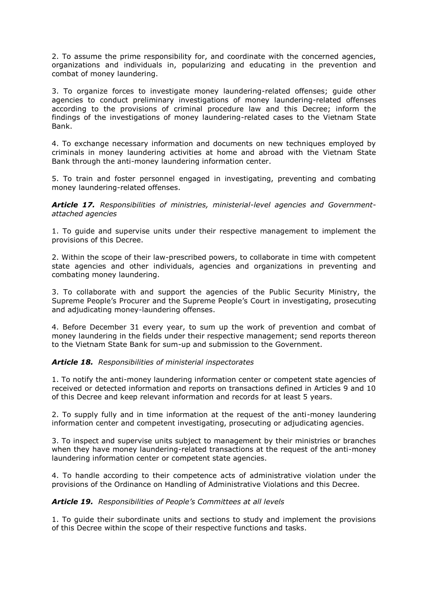2. To assume the prime responsibility for, and coordinate with the concerned agencies, organizations and individuals in, popularizing and educating in the prevention and combat of money laundering.

3. To organize forces to investigate money laundering-related offenses; guide other agencies to conduct preliminary investigations of money laundering-related offenses according to the provisions of criminal procedure law and this Decree; inform the findings of the investigations of money laundering-related cases to the Vietnam State Bank.

4. To exchange necessary information and documents on new techniques employed by criminals in money laundering activities at home and abroad with the Vietnam State Bank through the anti-money laundering information center.

5. To train and foster personnel engaged in investigating, preventing and combating money laundering-related offenses.

*Article 17. Responsibilities of ministries, ministerial-level agencies and Governmentattached agencies*

1. To guide and supervise units under their respective management to implement the provisions of this Decree.

2. Within the scope of their law-prescribed powers, to collaborate in time with competent state agencies and other individuals, agencies and organizations in preventing and combating money laundering.

3. To collaborate with and support the agencies of the Public Security Ministry, the Supreme People's Procurer and the Supreme People's Court in investigating, prosecuting and adjudicating money-laundering offenses.

4. Before December 31 every year, to sum up the work of prevention and combat of money laundering in the fields under their respective management; send reports thereon to the Vietnam State Bank for sum-up and submission to the Government.

## *Article 18. Responsibilities of ministerial inspectorates*

1. To notify the anti-money laundering information center or competent state agencies of received or detected information and reports on transactions defined in Articles 9 and 10 of this Decree and keep relevant information and records for at least 5 years.

2. To supply fully and in time information at the request of the anti-money laundering information center and competent investigating, prosecuting or adjudicating agencies.

3. To inspect and supervise units subject to management by their ministries or branches when they have money laundering-related transactions at the request of the anti-money laundering information center or competent state agencies.

4. To handle according to their competence acts of administrative violation under the provisions of the Ordinance on Handling of Administrative Violations and this Decree.

## *Article 19. Responsibilities of People's Committees at all levels*

1. To guide their subordinate units and sections to study and implement the provisions of this Decree within the scope of their respective functions and tasks.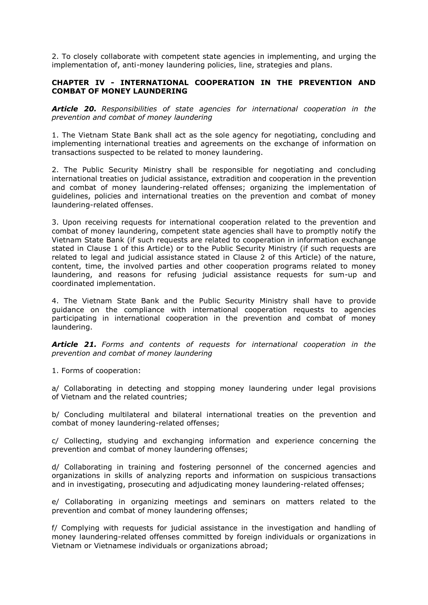2. To closely collaborate with competent state agencies in implementing, and urging the implementation of, anti-money laundering policies, line, strategies and plans.

# **CHAPTER IV - INTERNATIONAL COOPERATION IN THE PREVENTION AND COMBAT OF MONEY LAUNDERING**

*Article 20. Responsibilities of state agencies for international cooperation in the prevention and combat of money laundering*

1. The Vietnam State Bank shall act as the sole agency for negotiating, concluding and implementing international treaties and agreements on the exchange of information on transactions suspected to be related to money laundering.

2. The Public Security Ministry shall be responsible for negotiating and concluding international treaties on judicial assistance, extradition and cooperation in the prevention and combat of money laundering-related offenses; organizing the implementation of guidelines, policies and international treaties on the prevention and combat of money laundering-related offenses.

3. Upon receiving requests for international cooperation related to the prevention and combat of money laundering, competent state agencies shall have to promptly notify the Vietnam State Bank (if such requests are related to cooperation in information exchange stated in Clause 1 of this Article) or to the Public Security Ministry (if such requests are related to legal and judicial assistance stated in Clause 2 of this Article) of the nature, content, time, the involved parties and other cooperation programs related to money laundering, and reasons for refusing judicial assistance requests for sum-up and coordinated implementation.

4. The Vietnam State Bank and the Public Security Ministry shall have to provide guidance on the compliance with international cooperation requests to agencies participating in international cooperation in the prevention and combat of money laundering.

*Article 21. Forms and contents of requests for international cooperation in the prevention and combat of money laundering*

1. Forms of cooperation:

a/ Collaborating in detecting and stopping money laundering under legal provisions of Vietnam and the related countries;

b/ Concluding multilateral and bilateral international treaties on the prevention and combat of money laundering-related offenses;

c/ Collecting, studying and exchanging information and experience concerning the prevention and combat of money laundering offenses;

d/ Collaborating in training and fostering personnel of the concerned agencies and organizations in skills of analyzing reports and information on suspicious transactions and in investigating, prosecuting and adjudicating money laundering-related offenses;

e/ Collaborating in organizing meetings and seminars on matters related to the prevention and combat of money laundering offenses;

f/ Complying with requests for judicial assistance in the investigation and handling of money laundering-related offenses committed by foreign individuals or organizations in Vietnam or Vietnamese individuals or organizations abroad;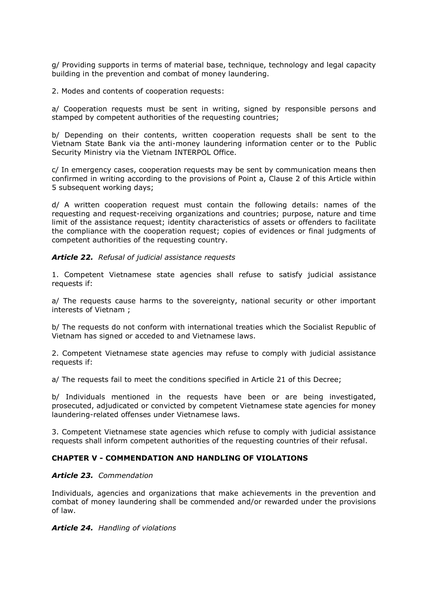g/ Providing supports in terms of material base, technique, technology and legal capacity building in the prevention and combat of money laundering.

2. Modes and contents of cooperation requests:

a/ Cooperation requests must be sent in writing, signed by responsible persons and stamped by competent authorities of the requesting countries;

b/ Depending on their contents, written cooperation requests shall be sent to the Vietnam State Bank via the anti-money laundering information center or to the Public Security Ministry via the Vietnam INTERPOL Office.

c/ In emergency cases, cooperation requests may be sent by communication means then confirmed in writing according to the provisions of Point a, Clause 2 of this Article within 5 subsequent working days;

d/ A written cooperation request must contain the following details: names of the requesting and request-receiving organizations and countries; purpose, nature and time limit of the assistance request; identity characteristics of assets or offenders to facilitate the compliance with the cooperation request; copies of evidences or final judgments of competent authorities of the requesting country.

## *Article 22. Refusal of judicial assistance requests*

1. Competent Vietnamese state agencies shall refuse to satisfy judicial assistance requests if:

a/ The requests cause harms to the sovereignty, national security or other important interests of Vietnam ;

b/ The requests do not conform with international treaties which the Socialist Republic of Vietnam has signed or acceded to and Vietnamese laws.

2. Competent Vietnamese state agencies may refuse to comply with judicial assistance requests if:

a/ The requests fail to meet the conditions specified in Article 21 of this Decree;

b/ Individuals mentioned in the requests have been or are being investigated, prosecuted, adjudicated or convicted by competent Vietnamese state agencies for money laundering-related offenses under Vietnamese laws.

3. Competent Vietnamese state agencies which refuse to comply with judicial assistance requests shall inform competent authorities of the requesting countries of their refusal.

## **CHAPTER V - COMMENDATION AND HANDLING OF VIOLATIONS**

## *Article 23. Commendation*

Individuals, agencies and organizations that make achievements in the prevention and combat of money laundering shall be commended and/or rewarded under the provisions of law.

## *Article 24. Handling of violations*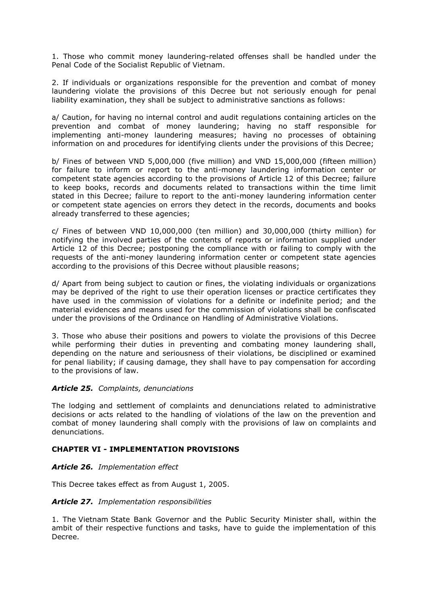1. Those who commit money laundering-related offenses shall be handled under the Penal Code of the Socialist Republic of Vietnam.

2. If individuals or organizations responsible for the prevention and combat of money laundering violate the provisions of this Decree but not seriously enough for penal liability examination, they shall be subject to administrative sanctions as follows:

a/ Caution, for having no internal control and audit regulations containing articles on the prevention and combat of money laundering; having no staff responsible for implementing anti-money laundering measures; having no processes of obtaining information on and procedures for identifying clients under the provisions of this Decree;

b/ Fines of between VND 5,000,000 (five million) and VND 15,000,000 (fifteen million) for failure to inform or report to the anti-money laundering information center or competent state agencies according to the provisions of Article 12 of this Decree; failure to keep books, records and documents related to transactions within the time limit stated in this Decree; failure to report to the anti-money laundering information center or competent state agencies on errors they detect in the records, documents and books already transferred to these agencies;

c/ Fines of between VND 10,000,000 (ten million) and 30,000,000 (thirty million) for notifying the involved parties of the contents of reports or information supplied under Article 12 of this Decree; postponing the compliance with or failing to comply with the requests of the anti-money laundering information center or competent state agencies according to the provisions of this Decree without plausible reasons;

d/ Apart from being subject to caution or fines, the violating individuals or organizations may be deprived of the right to use their operation licenses or practice certificates they have used in the commission of violations for a definite or indefinite period; and the material evidences and means used for the commission of violations shall be confiscated under the provisions of the Ordinance on Handling of Administrative Violations.

3. Those who abuse their positions and powers to violate the provisions of this Decree while performing their duties in preventing and combating money laundering shall, depending on the nature and seriousness of their violations, be disciplined or examined for penal liability; if causing damage, they shall have to pay compensation for according to the provisions of law.

## *Article 25. Complaints, denunciations*

The lodging and settlement of complaints and denunciations related to administrative decisions or acts related to the handling of violations of the law on the prevention and combat of money laundering shall comply with the provisions of law on complaints and denunciations.

## **CHAPTER VI - IMPLEMENTATION PROVISIONS**

## *Article 26. Implementation effect*

This Decree takes effect as from August 1, 2005.

## *Article 27. Implementation responsibilities*

1. The Vietnam State Bank Governor and the Public Security Minister shall, within the ambit of their respective functions and tasks, have to guide the implementation of this Decree.